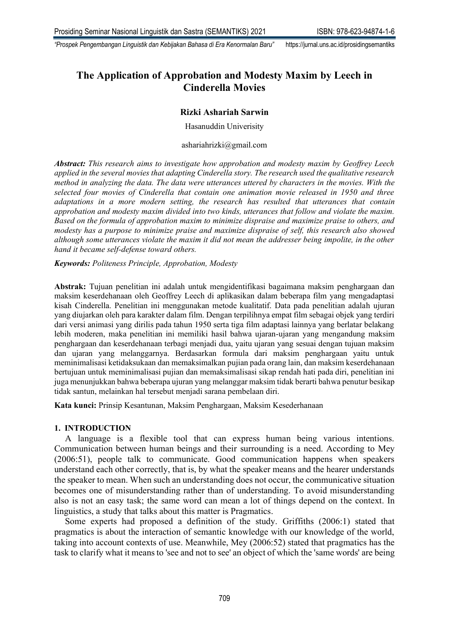# **The Application of Approbation and Modesty Maxim by Leech in Cinderella Movies**

## **Rizki Ashariah Sarwin**

Hasanuddin Univerisity

### ashariahrizki@gmail.com

*Abstract: This research aims to investigate how approbation and modesty maxim by Geoffrey Leech applied in the several movies that adapting Cinderella story. The research used the qualitative research method in analyzing the data. The data were utterances uttered by characters in the movies. With the selected four movies of Cinderella that contain one animation movie released in 1950 and three adaptations in a more modern setting, the research has resulted that utterances that contain approbation and modesty maxim divided into two kinds, utterances that follow and violate the maxim. Based on the formula of approbation maxim to minimize dispraise and maximize praise to others, and modesty has a purpose to minimize praise and maximize dispraise of self, this research also showed although some utterances violate the maxim it did not mean the addresser being impolite, in the other hand it became self-defense toward others.* 

*Keywords: Politeness Principle, Approbation, Modesty*

**Abstrak:** Tujuan penelitian ini adalah untuk mengidentifikasi bagaimana maksim penghargaan dan maksim keserdehanaan oleh Geoffrey Leech di aplikasikan dalam beberapa film yang mengadaptasi kisah Cinderella. Penelitian ini menggunakan metode kualitatif. Data pada penelitian adalah ujuran yang diujarkan oleh para karakter dalam film. Dengan terpilihnya empat film sebagai objek yang terdiri dari versi animasi yang dirilis pada tahun 1950 serta tiga film adaptasi lainnya yang berlatar belakang lebih moderen, maka penelitian ini memiliki hasil bahwa ujaran-ujaran yang mengandung maksim penghargaan dan keserdehanaan terbagi menjadi dua, yaitu ujaran yang sesuai dengan tujuan maksim dan ujaran yang melanggarnya. Berdasarkan formula dari maksim penghargaan yaitu untuk meminimalisasi ketidaksukaan dan memaksimalkan pujian pada orang lain, dan maksim keserdehanaan bertujuan untuk meminimalisasi pujian dan memaksimalisasi sikap rendah hati pada diri, penelitian ini juga menunjukkan bahwa beberapa ujuran yang melanggar maksim tidak berarti bahwa penutur besikap tidak santun, melainkan hal tersebut menjadi sarana pembelaan diri.

**Kata kunci:** Prinsip Kesantunan, Maksim Penghargaan, Maksim Kesederhanaan

## **1. INTRODUCTION**

A language is a flexible tool that can express human being various intentions. Communication between human beings and their surrounding is a need. According to Mey (2006:51), people talk to communicate. Good communication happens when speakers understand each other correctly, that is, by what the speaker means and the hearer understands the speaker to mean. When such an understanding does not occur, the communicative situation becomes one of misunderstanding rather than of understanding. To avoid misunderstanding also is not an easy task; the same word can mean a lot of things depend on the context. In linguistics, a study that talks about this matter is Pragmatics.

Some experts had proposed a definition of the study. Griffiths (2006:1) stated that pragmatics is about the interaction of semantic knowledge with our knowledge of the world, taking into account contexts of use. Meanwhile, Mey (2006:52) stated that pragmatics has the task to clarify what it means to 'see and not to see' an object of which the 'same words' are being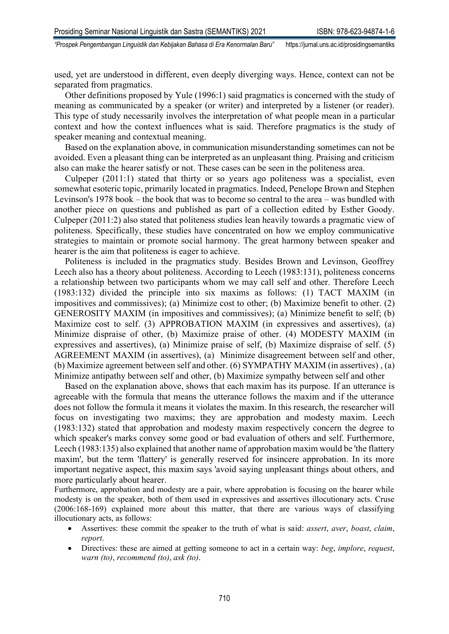used, yet are understood in different, even deeply diverging ways. Hence, context can not be separated from pragmatics.

Other definitions proposed by Yule (1996:1) said pragmatics is concerned with the study of meaning as communicated by a speaker (or writer) and interpreted by a listener (or reader). This type of study necessarily involves the interpretation of what people mean in a particular context and how the context influences what is said. Therefore pragmatics is the study of speaker meaning and contextual meaning.

Based on the explanation above, in communication misunderstanding sometimes can not be avoided. Even a pleasant thing can be interpreted as an unpleasant thing. Praising and criticism also can make the hearer satisfy or not. These cases can be seen in the politeness area.

Culpeper (2011:1) stated that thirty or so years ago politeness was a specialist, even somewhat esoteric topic, primarily located in pragmatics. Indeed, Penelope Brown and Stephen Levinson's 1978 book – the book that was to become so central to the area – was bundled with another piece on questions and published as part of a collection edited by Esther Goody. Culpeper (2011:2) also stated that politeness studies lean heavily towards a pragmatic view of politeness. Specifically, these studies have concentrated on how we employ communicative strategies to maintain or promote social harmony. The great harmony between speaker and hearer is the aim that politeness is eager to achieve.

Politeness is included in the pragmatics study. Besides Brown and Levinson, Geoffrey Leech also has a theory about politeness. According to Leech (1983:131), politeness concerns a relationship between two participants whom we may call self and other. Therefore Leech (1983:132) divided the principle into six maxims as follows: (1) TACT MAXIM (in impositives and commissives); (a) Minimize cost to other; (b) Maximize benefit to other. (2) GENEROSITY MAXIM (in impositives and commissives); (a) Minimize benefit to self; (b) Maximize cost to self. (3) APPROBATION MAXIM (in expressives and assertives), (a) Minimize dispraise of other, (b) Maximize praise of other. (4) MODESTY MAXIM (in expressives and assertives), (a) Minimize praise of self, (b) Maximize dispraise of self. (5) AGREEMENT MAXIM (in assertives), (a) Minimize disagreement between self and other, (b) Maximize agreement between self and other. (6) SYMPATHY MAXIM (in assertives) , (a) Minimize antipathy between self and other, (b) Maximize sympathy between self and other

Based on the explanation above, shows that each maxim has its purpose. If an utterance is agreeable with the formula that means the utterance follows the maxim and if the utterance does not follow the formula it means it violates the maxim. In this research, the researcher will focus on investigating two maxims; they are approbation and modesty maxim. Leech (1983:132) stated that approbation and modesty maxim respectively concern the degree to which speaker's marks convey some good or bad evaluation of others and self. Furthermore, Leech (1983:135) also explained that another name of approbation maxim would be 'the flattery maxim', but the term 'flattery' is generally reserved for insincere approbation. In its more important negative aspect, this maxim says 'avoid saying unpleasant things about others, and more particularly about hearer.

Furthermore, approbation and modesty are a pair, where approbation is focusing on the hearer while modesty is on the speaker, both of them used in expressives and assertives illocutionary acts. Cruse (2006:168-169) explained more about this matter, that there are various ways of classifying illocutionary acts, as follows:

- Assertives: these commit the speaker to the truth of what is said: *assert*, *aver*, *boast*, *claim*, *report*.
- Directives: these are aimed at getting someone to act in a certain way: *beg*, *implore*, *request*, *warn (to)*, *recommend (to)*, *ask (to)*.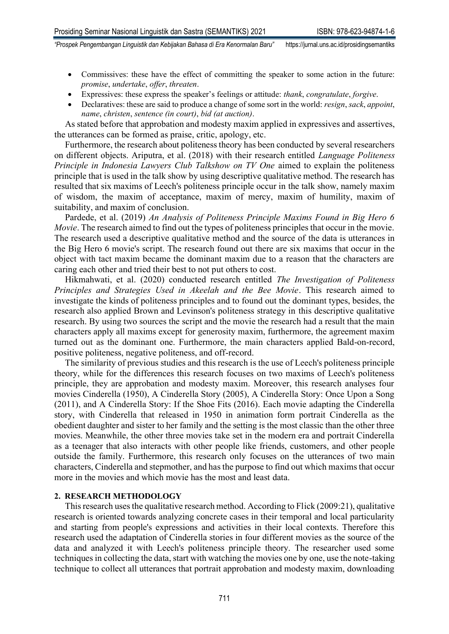- 
- Commissives: these have the effect of committing the speaker to some action in the future: *promise*, *undertake*, *offer*, *threaten*.
- Expressives: these express the speaker's feelings or attitude: *thank*, *congratulate*, *forgive*.
- Declaratives: these are said to produce a change of some sort in the world: *resign*, *sack*, *appoint*, *name*, *christen*, *sentence (in court)*, *bid (at auction)*.

As stated before that approbation and modesty maxim applied in expressives and assertives, the utterances can be formed as praise, critic, apology, etc.

Furthermore, the research about politeness theory has been conducted by several researchers on different objects. Ariputra, et al. (2018) with their research entitled *Language Politeness Principle in Indonesia Lawyers Club Talkshow on TV One* aimed to explain the politeness principle that is used in the talk show by using descriptive qualitative method. The research has resulted that six maxims of Leech's politeness principle occur in the talk show, namely maxim of wisdom, the maxim of acceptance, maxim of mercy, maxim of humility, maxim of suitability, and maxim of conclusion.

Pardede, et al. (2019) *An Analysis of Politeness Principle Maxims Found in Big Hero 6 Movie*. The research aimed to find out the types of politeness principles that occur in the movie. The research used a descriptive qualitative method and the source of the data is utterances in the Big Hero 6 movie's script. The research found out there are six maxims that occur in the object with tact maxim became the dominant maxim due to a reason that the characters are caring each other and tried their best to not put others to cost.

Hikmahwati, et al. (2020) conducted research entitled *The Investigation of Politeness Principles and Strategies Used in Akeelah and the Bee Movie*. This research aimed to investigate the kinds of politeness principles and to found out the dominant types, besides, the research also applied Brown and Levinson's politeness strategy in this descriptive qualitative research. By using two sources the script and the movie the research had a result that the main characters apply all maxims except for generosity maxim, furthermore, the agreement maxim turned out as the dominant one. Furthermore, the main characters applied Bald-on-record, positive politeness, negative politeness, and off-record.

The similarity of previous studies and this research is the use of Leech's politeness principle theory, while for the differences this research focuses on two maxims of Leech's politeness principle, they are approbation and modesty maxim. Moreover, this research analyses four movies Cinderella (1950), A Cinderella Story (2005), A Cinderella Story: Once Upon a Song (2011), and A Cinderella Story: If the Shoe Fits (2016). Each movie adapting the Cinderella story, with Cinderella that released in 1950 in animation form portrait Cinderella as the obedient daughter and sister to her family and the setting is the most classic than the other three movies. Meanwhile, the other three movies take set in the modern era and portrait Cinderella as a teenager that also interacts with other people like friends, customers, and other people outside the family. Furthermore, this research only focuses on the utterances of two main characters, Cinderella and stepmother, and has the purpose to find out which maxims that occur more in the movies and which movie has the most and least data.

### **2. RESEARCH METHODOLOGY**

This research uses the qualitative research method. According to Flick (2009:21), qualitative research is oriented towards analyzing concrete cases in their temporal and local particularity and starting from people's expressions and activities in their local contexts. Therefore this research used the adaptation of Cinderella stories in four different movies as the source of the data and analyzed it with Leech's politeness principle theory. The researcher used some techniques in collecting the data, start with watching the movies one by one, use the note-taking technique to collect all utterances that portrait approbation and modesty maxim, downloading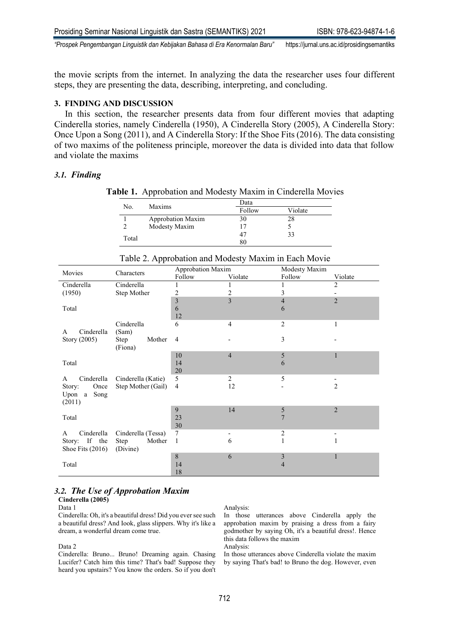the movie scripts from the internet. In analyzing the data the researcher uses four different steps, they are presenting the data, describing, interpreting, and concluding.

### **3. FINDING AND DISCUSSION**

In this section, the researcher presents data from four different movies that adapting Cinderella stories, namely Cinderella (1950), A Cinderella Story (2005), A Cinderella Story: Once Upon a Song (2011), and A Cinderella Story: If the Shoe Fits (2016). The data consisting of two maxims of the politeness principle, moreover the data is divided into data that follow and violate the maxims

### *3.1. Finding*

**Table 1.** Approbation and Modesty Maxim in Cinderella Movies

| No.   | Maxims            | Data   |         |  |
|-------|-------------------|--------|---------|--|
|       |                   | Follow | Violate |  |
|       | Approbation Maxim | 30     | 28      |  |
|       | Modesty Maxim     | 17     |         |  |
|       |                   | 47     | 33      |  |
| Total |                   | 80     |         |  |

|                       | Characters         | Approbation Maxim |                | Modesty Maxim  |                |
|-----------------------|--------------------|-------------------|----------------|----------------|----------------|
| Movies                |                    | Follow            | Violate        | Follow         | Violate        |
| Cinderella            | Cinderella         |                   |                |                | $\overline{2}$ |
| (1950)<br>Step Mother |                    | 2                 | 2              | 3              |                |
|                       |                    | $\mathfrak{Z}$    | 3              | $\overline{4}$ | $\overline{2}$ |
| Total                 |                    | 6                 |                | 6              |                |
|                       |                    | 12                |                |                |                |
|                       | Cinderella         | 6                 | 4              | $\overline{c}$ | 1              |
| Cinderella<br>A       | (Sam)              |                   |                |                |                |
| Story (2005)          | Mother<br>Step     | 4                 |                | 3              |                |
|                       | (Fiona)            |                   |                |                |                |
|                       |                    | 10                | $\overline{4}$ | 5              | 1              |
| Total                 |                    | 14                |                | 6              |                |
|                       |                    | 20                |                |                |                |
| Cinderella<br>A       | Cinderella (Katie) | 5                 | 2              | 5              |                |
| Once<br>Story:        | Step Mother (Gail) | $\overline{4}$    | 12             |                | $\overline{2}$ |
| Upon a<br>Song        |                    |                   |                |                |                |
| (2011)                |                    |                   |                |                |                |
|                       |                    | 9                 | 14             | 5              | $\overline{2}$ |
| Total                 |                    | 23                |                | $\overline{7}$ |                |
|                       |                    | 30                |                |                |                |
| Cinderella<br>A       | Cinderella (Tessa) | $\tau$            |                | 2              |                |
| Story: If the         | Mother<br>Step     | 1                 | 6              | $\mathbf{1}$   | $\mathbf{1}$   |
| Shoe Fits $(2016)$    | (Divine)           |                   |                |                |                |
|                       |                    | 8                 | 6              | 3              | 1              |
| Total                 |                    | 14                |                | 4              |                |
|                       |                    | 18                |                |                |                |

### Table 2. Approbation and Modesty Maxim in Each Movie

## *3.2. The Use of Approbation Maxim*

#### **Cinderella (2005)** Data 1

Cinderella: Oh, it's a beautiful dress! Did you ever see such a beautiful dress? And Iook, glass slippers. Why it's like a dream, a wonderful dream come true.

### Data 2

Cinderella: Bruno... Bruno! Dreaming again. Chasing Lucifer? Catch him this time? That's bad! Suppose they heard you upstairs? You know the orders. So if you don't

#### Analysis:

In those utterances above Cinderella apply the approbation maxim by praising a dress from a fairy godmother by saying Oh, it's a beautiful dress!. Hence this data follows the maxim

Analysis:

In those utterances above Cinderella violate the maxim by saying That's bad! to Bruno the dog. However, even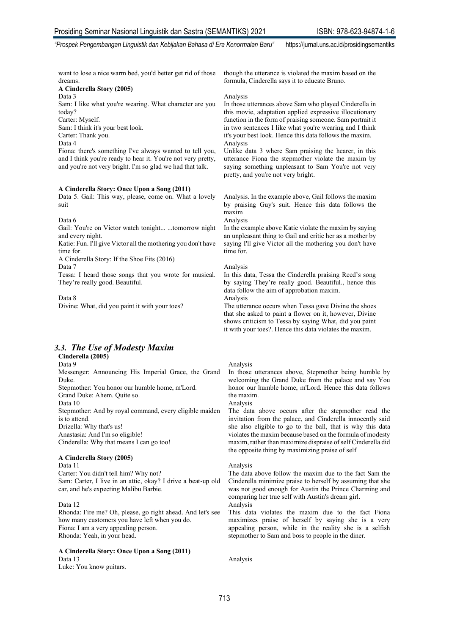want to lose a nice warm bed, you'd better get rid of those dreams.

#### **A Cinderella Story (2005)**

Data 3

Sam: I like what you're wearing. What character are you today?

Carter: Myself.

Sam: I think it's your best look.

Carter: Thank you.

Data 4

Fiona: there's something I've always wanted to tell you, and I think you're ready to hear it. You're not very pretty, and you're not very bright. I'm so glad we had that talk.

#### **A Cinderella Story: Once Upon a Song (2011)**

Data 5. Gail: This way, please, come on. What a lovely suit

Data 6

Gail: You're on Victor watch tonight... ...tomorrow night and every night.

Katie: Fun. I'll give Victor all the mothering you don't have time for.

A Cinderella Story: If the Shoe Fits (2016)

Data 7

Tessa: I heard those songs that you wrote for musical. They're really good. Beautiful.

Data 8 Divine: What, did you paint it with your toes?

### *3.3. The Use of Modesty Maxim*

### **Cinderella (2005)**

Data 9 Messenger: Announcing His Imperial Grace, the Grand Duke. Stepmother: You honor our humble home, m'Lord. Grand Duke: Ahem. Quite so.

Data 10

Stepmother: And by royal command, every eligible maiden is to attend.

Drizella: Why that's us! Anastasia: And I'm so eligible!

Cinderella: Why that means I can go too!

#### **A Cinderella Story (2005)**

Data 11 Carter: You didn't tell him? Why not? Sam: Carter, I live in an attic, okay? I drive a beat-up old car, and he's expecting Malibu Barbie.

#### Data 12

Rhonda: Fire me? Oh, please, go right ahead. And let's see how many customers you have left when you do. Fiona: I am a very appealing person. Rhonda: Yeah, in your head.

### **A Cinderella Story: Once Upon a Song (2011)** Data 13

Luke: You know guitars.

though the utterance is violated the maxim based on the formula, Cinderella says it to educate Bruno.

#### Analysis

In those utterances above Sam who played Cinderella in this movie, adaptation applied expressive illocutionary function in the form of praising someone. Sam portrait it in two sentences I like what you're wearing and I think it's your best look. Hence this data follows the maxim. Analysis

Unlike data 3 where Sam praising the hearer, in this utterance Fiona the stepmother violate the maxim by saying something unpleasant to Sam You're not very pretty, and you're not very bright.

Analysis. In the example above, Gail follows the maxim by praising Guy's suit. Hence this data follows the maxim Analysis

In the example above Katie violate the maxim by saying an unpleasant thing to Gail and critic her as a mother by saying I'll give Victor all the mothering you don't have time for.

#### Analysis

In this data, Tessa the Cinderella praising Reed's song by saying They're really good. Beautiful., hence this data follow the aim of approbation maxim.

Analysis

The utterance occurs when Tessa gave Divine the shoes that she asked to paint a flower on it, however, Divine shows criticism to Tessa by saying What, did you paint it with your toes?. Hence this data violates the maxim.

#### Analysis

In those utterances above, Stepmother being humble by welcoming the Grand Duke from the palace and say You honor our humble home, m'Lord. Hence this data follows the maxim.

Analysis

The data above occurs after the stepmother read the invitation from the palace, and Cinderella innocently said she also eligible to go to the ball, that is why this data violates the maxim because based on the formula of modesty maxim, rather than maximize dispraise of self Cinderella did the opposite thing by maximizing praise of self

#### Analysis

The data above follow the maxim due to the fact Sam the Cinderella minimize praise to herself by assuming that she was not good enough for Austin the Prince Charming and comparing her true self with Austin's dream girl.

Analysis

This data violates the maxim due to the fact Fiona maximizes praise of herself by saying she is a very appealing person, while in the reality she is a selfish stepmother to Sam and boss to people in the diner.

Analysis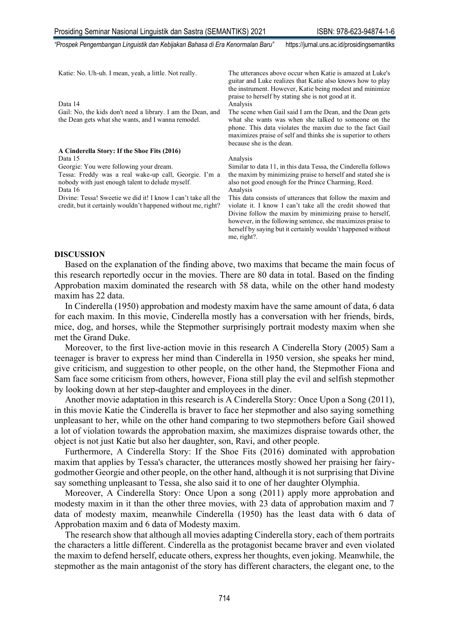| Katie: No. Uh-uh. I mean, yeah, a little. Not really.                                                                                                           | The utterances above occur when Katie is amazed at Luke's<br>guitar and Luke realizes that Katie also knows how to play<br>the instrument. However, Katie being modest and minimize<br>praise to herself by stating she is not good at it.                                                                                         |
|-----------------------------------------------------------------------------------------------------------------------------------------------------------------|------------------------------------------------------------------------------------------------------------------------------------------------------------------------------------------------------------------------------------------------------------------------------------------------------------------------------------|
| Data 14                                                                                                                                                         | Analysis                                                                                                                                                                                                                                                                                                                           |
| Gail: No, the kids don't need a library. I am the Dean, and<br>the Dean gets what she wants, and I wanna remodel.                                               | The scene when Gail said I am the Dean, and the Dean gets<br>what she wants was when she talked to someone on the<br>phone. This data violates the maxim due to the fact Gail<br>maximizes praise of self and thinks she is superior to others<br>because she is the dean.                                                         |
| A Cinderella Story: If the Shoe Fits (2016)                                                                                                                     |                                                                                                                                                                                                                                                                                                                                    |
| Data 15                                                                                                                                                         | Analysis                                                                                                                                                                                                                                                                                                                           |
| Georgie: You were following your dream.<br>Tessa: Freddy was a real wake-up call, Georgie. I'm a<br>nobody with just enough talent to delude myself.<br>Data 16 | Similar to data 11, in this data Tessa, the Cinderella follows<br>the maxim by minimizing praise to herself and stated she is<br>also not good enough for the Prince Charming, Reed.<br>Analysis                                                                                                                                   |
| Divine: Tessa! Sweetie we did it! I know I can't take all the<br>credit, but it certainly wouldn't happened without me, right?                                  | This data consists of utterances that follow the maxim and<br>violate it. I know I can't take all the credit showed that<br>Divine follow the maxim by minimizing praise to herself,<br>however, in the following sentence, she maximizes praise to<br>herself by saying but it certainly wouldn't happened without<br>me, right?. |

### **DISCUSSION**

Based on the explanation of the finding above, two maxims that became the main focus of this research reportedly occur in the movies. There are 80 data in total. Based on the finding Approbation maxim dominated the research with 58 data, while on the other hand modesty maxim has 22 data.

In Cinderella (1950) approbation and modesty maxim have the same amount of data, 6 data for each maxim. In this movie, Cinderella mostly has a conversation with her friends, birds, mice, dog, and horses, while the Stepmother surprisingly portrait modesty maxim when she met the Grand Duke.

Moreover, to the first live-action movie in this research A Cinderella Story (2005) Sam a teenager is braver to express her mind than Cinderella in 1950 version, she speaks her mind, give criticism, and suggestion to other people, on the other hand, the Stepmother Fiona and Sam face some criticism from others, however, Fiona still play the evil and selfish stepmother by looking down at her step-daughter and employees in the diner.

Another movie adaptation in this research is A Cinderella Story: Once Upon a Song (2011), in this movie Katie the Cinderella is braver to face her stepmother and also saying something unpleasant to her, while on the other hand comparing to two stepmothers before Gail showed a lot of violation towards the approbation maxim, she maximizes dispraise towards other, the object is not just Katie but also her daughter, son, Ravi, and other people.

Furthermore, A Cinderella Story: If the Shoe Fits (2016) dominated with approbation maxim that applies by Tessa's character, the utterances mostly showed her praising her fairygodmother Georgie and other people, on the other hand, although it is not surprising that Divine say something unpleasant to Tessa, she also said it to one of her daughter Olymphia.

Moreover, A Cinderella Story: Once Upon a song (2011) apply more approbation and modesty maxim in it than the other three movies, with 23 data of approbation maxim and 7 data of modesty maxim, meanwhile Cinderella (1950) has the least data with 6 data of Approbation maxim and 6 data of Modesty maxim.

The research show that although all movies adapting Cinderella story, each of them portraits the characters a little different. Cinderella as the protagonist became braver and even violated the maxim to defend herself, educate others, express her thoughts, even joking. Meanwhile, the stepmother as the main antagonist of the story has different characters, the elegant one, to the